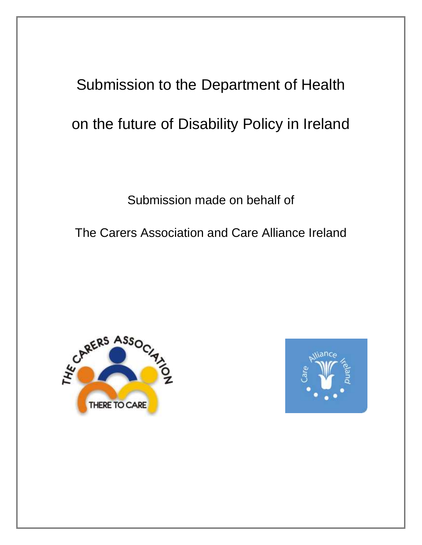# Submission to the Department of Health on the future of Disability Policy in Ireland

Submission made on behalf of

The Carers Association and Care Alliance Ireland



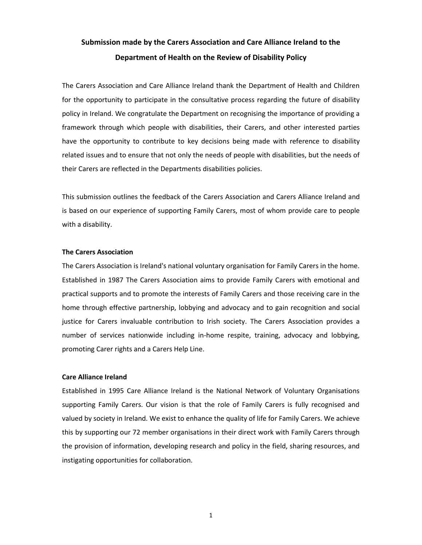# **Submission made by the Carers Association and Care Alliance Ireland to the Department of Health on the Review of Disability Policy**

The Carers Association and Care Alliance Ireland thank the Department of Health and Children for the opportunity to participate in the consultative process regarding the future of disability policy in Ireland. We congratulate the Department on recognising the importance of providing a framework through which people with disabilities, their Carers, and other interested parties have the opportunity to contribute to key decisions being made with reference to disability related issues and to ensure that not only the needs of people with disabilities, but the needs of their Carers are reflected in the Departments disabilities policies.

This submission outlines the feedback of the Carers Association and Carers Alliance Ireland and is based on our experience of supporting Family Carers, most of whom provide care to people with a disability.

#### **The Carers Association**

The Carers Association is Ireland's national voluntary organisation for Family Carers in the home. Established in 1987 The Carers Association aims to provide Family Carers with emotional and practical supports and to promote the interests of Family Carers and those receiving care in the home through effective partnership, lobbying and advocacy and to gain recognition and social justice for Carers invaluable contribution to Irish society. The Carers Association provides a number of services nationwide including in-home respite, training, advocacy and lobbying, promoting Carer rights and a Carers Help Line.

#### **Care Alliance Ireland**

Established in 1995 Care Alliance Ireland is the National Network of Voluntary Organisations supporting Family Carers. Our vision is that the role of Family Carers is fully recognised and valued by society in Ireland. We exist to enhance the quality of life for Family Carers. We achieve this by supporting our 72 member organisations in their direct work with Family Carers through the provision of information, developing research and policy in the field, sharing resources, and instigating opportunities for collaboration.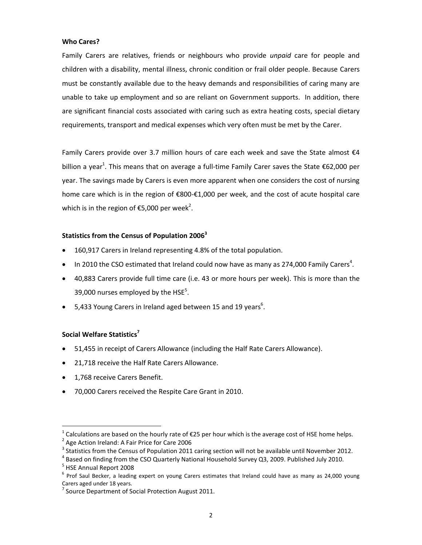## **Who Cares?**

Family Carers are relatives, friends or neighbours who provide *unpaid* care for people and children with a disability, mental illness, chronic condition or frail older people. Because Carers must be constantly available due to the heavy demands and responsibilities of caring many are unable to take up employment and so are reliant on Government supports. In addition, there are significant financial costs associated with caring such as extra heating costs, special dietary requirements, transport and medical expenses which very often must be met by the Carer.

Family Carers provide over 3.7 million hours of care each week and save the State almost  $\epsilon$ 4 billion a year<sup>1</sup>. This means that on average a full-time Family Carer saves the State  $\epsilon$ 62,000 per year. The savings made by Carers is even more apparent when one considers the cost of nursing home care which is in the region of €800-€1,000 per week, and the cost of acute hospital care which is in the region of €5,000 per week<sup>2</sup>.

## **Statistics from the Census of Population 2006<sup>3</sup>**

- 160,917 Carers in Ireland representing 4.8% of the total population.
- $\bullet$  In 2010 the CSO estimated that Ireland could now have as many as 274,000 Family Carers<sup>4</sup>.
- 40,883 Carers provide full time care (i.e. 43 or more hours per week). This is more than the 39,000 nurses employed by the HSE $^5$ .
- $\bullet$  5,433 Young Carers in Ireland aged between 15 and 19 years<sup>6</sup>.

## **Social Welfare Statistics<sup>7</sup>**

- 51,455 in receipt of Carers Allowance (including the Half Rate Carers Allowance).
- 21,718 receive the Half Rate Carers Allowance.
- 1,768 receive Carers Benefit.
- 70,000 Carers received the Respite Care Grant in 2010.

<sup>1</sup> Calculations are based on the hourly rate of €25 per hour which is the average cost of HSE home helps.

<sup>&</sup>lt;sup>2</sup> Age Action Ireland: A Fair Price for Care 2006

 $3$  Statistics from the Census of Population 2011 caring section will not be available until November 2012.

<sup>4</sup> Based on finding from the CSO Quarterly National Household Survey Q3, 2009. Published July 2010.

<sup>&</sup>lt;sup>5</sup> HSE Annual Report 2008

<sup>&</sup>lt;sup>6</sup> Prof Saul Becker, a leading expert on young Carers estimates that Ireland could have as many as 24,000 young Carers aged under 18 years.

<sup>&</sup>lt;sup>7</sup> Source Department of Social Protection August 2011.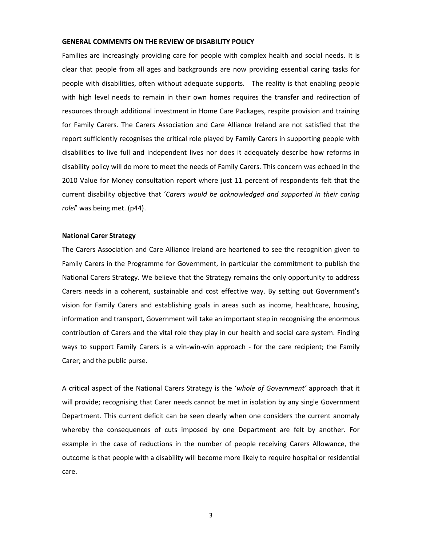#### **GENERAL COMMENTS ON THE REVIEW OF DISABILITY POLICY**

Families are increasingly providing care for people with complex health and social needs. It is clear that people from all ages and backgrounds are now providing essential caring tasks for people with disabilities, often without adequate supports. The reality is that enabling people with high level needs to remain in their own homes requires the transfer and redirection of resources through additional investment in Home Care Packages, respite provision and training for Family Carers. The Carers Association and Care Alliance Ireland are not satisfied that the report sufficiently recognises the critical role played by Family Carers in supporting people with disabilities to live full and independent lives nor does it adequately describe how reforms in disability policy will do more to meet the needs of Family Carers. This concern was echoed in the 2010 Value for Money consultation report where just 11 percent of respondents felt that the current disability objective that '*Carers would be acknowledged and supported in their caring rolel*' was being met. (p44).

#### **National Carer Strategy**

The Carers Association and Care Alliance Ireland are heartened to see the recognition given to Family Carers in the Programme for Government, in particular the commitment to publish the National Carers Strategy. We believe that the Strategy remains the only opportunity to address Carers needs in a coherent, sustainable and cost effective way. By setting out Government's vision for Family Carers and establishing goals in areas such as income, healthcare, housing, information and transport, Government will take an important step in recognising the enormous contribution of Carers and the vital role they play in our health and social care system. Finding ways to support Family Carers is a win-win-win approach - for the care recipient; the Family Carer; and the public purse.

A critical aspect of the National Carers Strategy is the '*whole of Government'* approach that it will provide; recognising that Carer needs cannot be met in isolation by any single Government Department. This current deficit can be seen clearly when one considers the current anomaly whereby the consequences of cuts imposed by one Department are felt by another. For example in the case of reductions in the number of people receiving Carers Allowance, the outcome is that people with a disability will become more likely to require hospital or residential care.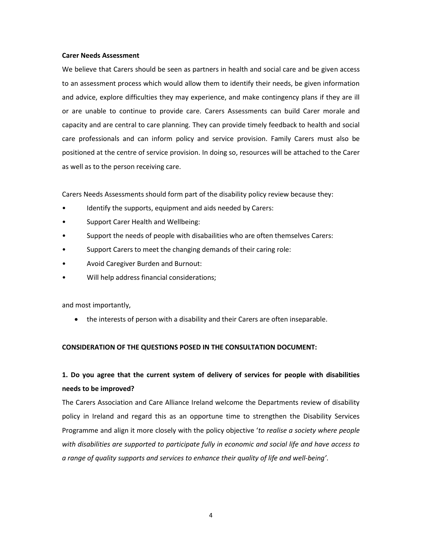#### **Carer Needs Assessment**

We believe that Carers should be seen as partners in health and social care and be given access to an assessment process which would allow them to identify their needs, be given information and advice, explore difficulties they may experience, and make contingency plans if they are ill or are unable to continue to provide care. Carers Assessments can build Carer morale and capacity and are central to care planning. They can provide timely feedback to health and social care professionals and can inform policy and service provision. Family Carers must also be positioned at the centre of service provision. In doing so, resources will be attached to the Carer as well as to the person receiving care.

Carers Needs Assessments should form part of the disability policy review because they:

- Identify the supports, equipment and aids needed by Carers:
- Support Carer Health and Wellbeing:
- Support the needs of people with disabailities who are often themselves Carers:
- Support Carers to meet the changing demands of their caring role:
- Avoid Caregiver Burden and Burnout:
- Will help address financial considerations;

and most importantly,

the interests of person with a disability and their Carers are often inseparable.

## **CONSIDERATION OF THE QUESTIONS POSED IN THE CONSULTATION DOCUMENT:**

# **1. Do you agree that the current system of delivery of services for people with disabilities needs to be improved?**

The Carers Association and Care Alliance Ireland welcome the Departments review of disability policy in Ireland and regard this as an opportune time to strengthen the Disability Services Programme and align it more closely with the policy objective '*to realise a society where people with disabilities are supported to participate fully in economic and social life and have access to a range of quality supports and services to enhance their quality of life and well-being'*.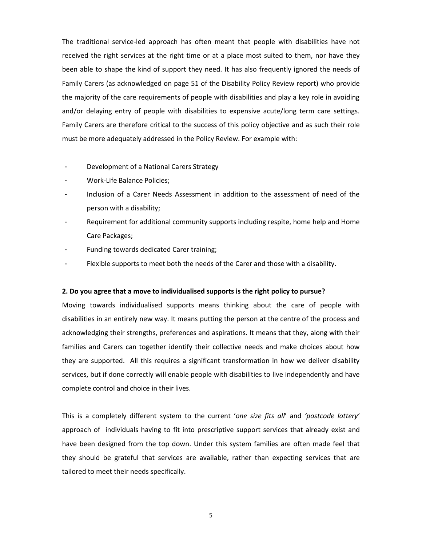The traditional service-led approach has often meant that people with disabilities have not received the right services at the right time or at a place most suited to them, nor have they been able to shape the kind of support they need. It has also frequently ignored the needs of Family Carers (as acknowledged on page 51 of the Disability Policy Review report) who provide the majority of the care requirements of people with disabilities and play a key role in avoiding and/or delaying entry of people with disabilities to expensive acute/long term care settings. Family Carers are therefore critical to the success of this policy objective and as such their role must be more adequately addressed in the Policy Review. For example with:

- Development of a National Carers Strategy
- Work-Life Balance Policies;
- Inclusion of a Carer Needs Assessment in addition to the assessment of need of the person with a disability;
- Requirement for additional community supports including respite, home help and Home Care Packages;
- Funding towards dedicated Carer training;
- Flexible supports to meet both the needs of the Carer and those with a disability.

#### **2. Do you agree that a move to individualised supports is the right policy to pursue?**

Moving towards individualised supports means thinking about the care of people with disabilities in an entirely new way. It means putting the person at the centre of the process and acknowledging their strengths, preferences and aspirations. It means that they, along with their families and Carers can together identify their collective needs and make choices about how they are supported. All this requires a significant transformation in how we deliver disability services, but if done correctly will enable people with disabilities to live independently and have complete control and choice in their lives.

This is a completely different system to the current '*one size fits all*' and *'postcode lottery*' approach of individuals having to fit into prescriptive support services that already exist and have been designed from the top down. Under this system families are often made feel that they should be grateful that services are available, rather than expecting services that are tailored to meet their needs specifically.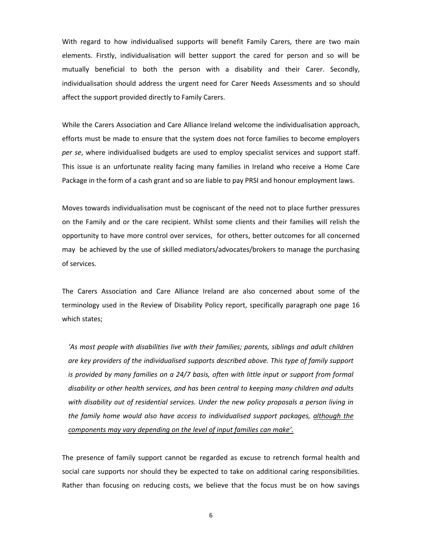With regard to how individualised supports will benefit Family Carers, there are two main elements. Firstly, individualisation will better support the cared for person and so will be mutually beneficial to both the person with a disability and their Carer. Secondly, individualisation should address the urgent need for Carer Needs Assessments and so should affect the support provided directly to Family Carers.

While the Carers Association and Care Alliance Ireland welcome the individualisation approach, efforts must be made to ensure that the system does not force families to become employers *per se*, where individualised budgets are used to employ specialist services and support staff. This issue is an unfortunate reality facing many families in Ireland who receive a Home Care Package in the form of a cash grant and so are liable to pay PRSI and honour employment laws.

Moves towards individualisation must be cogniscant of the need not to place further pressures on the Family and or the care recipient. Whilst some clients and their families will relish the opportunity to have more control over services, for others, better outcomes for all concerned may be achieved by the use of skilled mediators/advocates/brokers to manage the purchasing of services.

The Carers Association and Care Alliance Ireland are also concerned about some of the terminology used in the Review of Disability Policy report, specifically paragraph one page 16 which states;

*'As most people with disabilities live with their families; parents, siblings and adult children are key providers of the individualised supports described above. This type of family support is provided by many families on a 24/7 basis, often with little input or support from formal disability or other health services, and has been central to keeping many children and adults with disability out of residential services. Under the new policy proposals a person living in the family home would also have access to individualised support packages, although the components may vary depending on the level of input families can make'.*

The presence of family support cannot be regarded as excuse to retrench formal health and social care supports nor should they be expected to take on additional caring responsibilities. Rather than focusing on reducing costs, we believe that the focus must be on how savings

6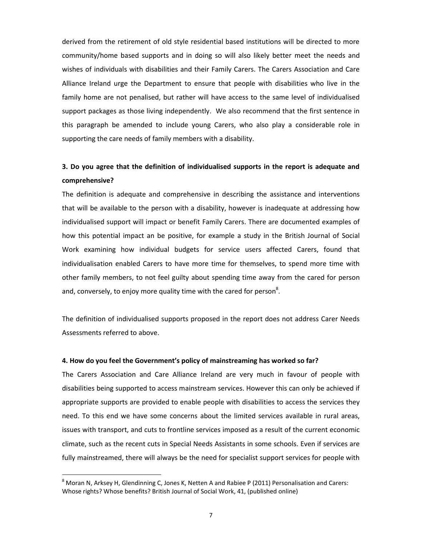derived from the retirement of old style residential based institutions will be directed to more community/home based supports and in doing so will also likely better meet the needs and wishes of individuals with disabilities and their Family Carers. The Carers Association and Care Alliance Ireland urge the Department to ensure that people with disabilities who live in the family home are not penalised, but rather will have access to the same level of individualised support packages as those living independently. We also recommend that the first sentence in this paragraph be amended to include young Carers, who also play a considerable role in supporting the care needs of family members with a disability.

# **3. Do you agree that the definition of individualised supports in the report is adequate and comprehensive?**

The definition is adequate and comprehensive in describing the assistance and interventions that will be available to the person with a disability, however is inadequate at addressing how individualised support will impact or benefit Family Carers. There are documented examples of how this potential impact an be positive, for example a study in the British Journal of Social Work examining how individual budgets for service users affected Carers, found that individualisation enabled Carers to have more time for themselves, to spend more time with other family members, to not feel guilty about spending time away from the cared for person and, conversely, to enjoy more quality time with the cared for person<sup>8</sup>.

The definition of individualised supports proposed in the report does not address Carer Needs Assessments referred to above.

#### **4. How do you feel the Government's policy of mainstreaming has worked so far?**

The Carers Association and Care Alliance Ireland are very much in favour of people with disabilities being supported to access mainstream services. However this can only be achieved if appropriate supports are provided to enable people with disabilities to access the services they need. To this end we have some concerns about the limited services available in rural areas, issues with transport, and cuts to frontline services imposed as a result of the current economic climate, such as the recent cuts in Special Needs Assistants in some schools. Even if services are fully mainstreamed, there will always be the need for specialist support services for people with

<sup>8</sup> Moran N, Arksey H, Glendinning C, Jones K, Netten A and Rabiee P (2011) Personalisation and Carers: Whose rights? Whose benefits? British Journal of Social Work, 41, (published online)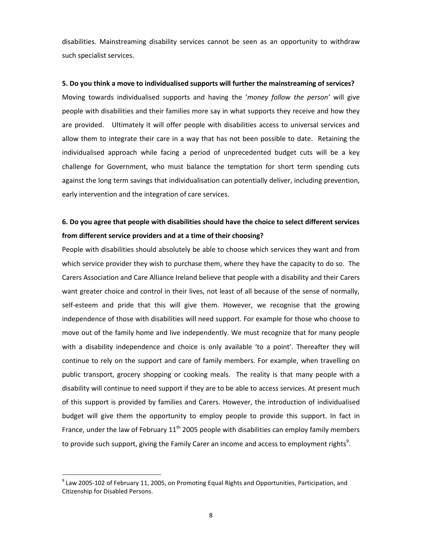disabilities. Mainstreaming disability services cannot be seen as an opportunity to withdraw such specialist services.

**5. Do you think a move to individualised supports will further the mainstreaming of services?** Moving towards individualised supports and having the '*money follow the person'* will give people with disabilities and their families more say in what supports they receive and how they are provided. Ultimately it will offer people with disabilities access to universal services and allow them to integrate their care in a way that has not been possible to date. Retaining the individualised approach while facing a period of unprecedented budget cuts will be a key challenge for Government, who must balance the temptation for short term spending cuts against the long term savings that individualisation can potentially deliver, including prevention, early intervention and the integration of care services.

## **6. Do you agree that people with disabilities should have the choice to select different services from different service providers and at a time of their choosing?**

People with disabilities should absolutely be able to choose which services they want and from which service provider they wish to purchase them, where they have the capacity to do so. The Carers Association and Care Alliance Ireland believe that people with a disability and their Carers want greater choice and control in their lives, not least of all because of the sense of normally, self-esteem and pride that this will give them. However, we recognise that the growing independence of those with disabilities will need support. For example for those who choose to move out of the family home and live independently. We must recognize that for many people with a disability independence and choice is only available 'to a point'. Thereafter they will continue to rely on the support and care of family members. For example, when travelling on public transport, grocery shopping or cooking meals. The reality is that many people with a disability will continue to need support if they are to be able to access services. At present much of this support is provided by families and Carers. However, the introduction of individualised budget will give them the opportunity to employ people to provide this support. In fact in France, under the law of February  $11<sup>th</sup>$  2005 people with disabilities can employ family members to provide such support, giving the Family Carer an income and access to employment rights $^9$ .

 $^9$  Law 2005-102 of February 11, 2005, on Promoting Equal Rights and Opportunities, Participation, and Citizenship for Disabled Persons.